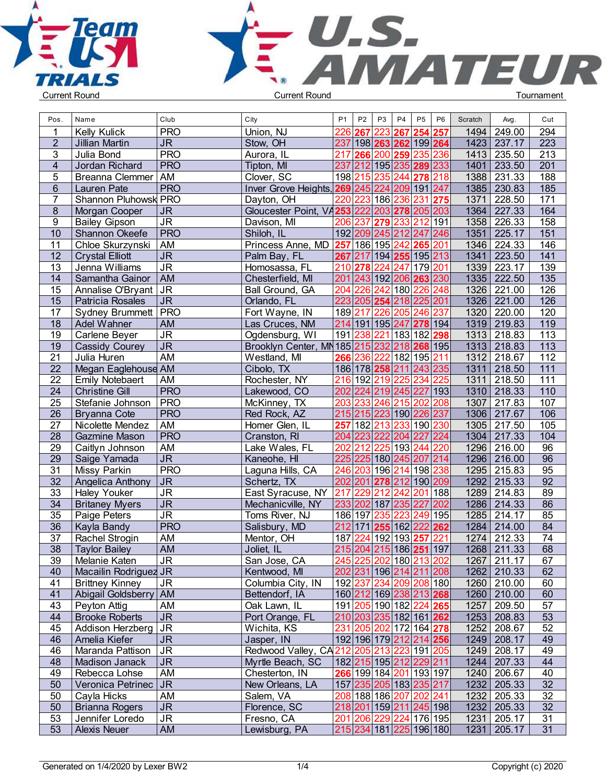



| Pos.            | Name                                    | Club                              | City                                                    | P <sub>1</sub> | P <sub>2</sub> | P <sub>3</sub> | P4                                                 | P <sub>5</sub> | P <sub>6</sub> | Scratch | Avg.                         | Cut              |  |
|-----------------|-----------------------------------------|-----------------------------------|---------------------------------------------------------|----------------|----------------|----------------|----------------------------------------------------|----------------|----------------|---------|------------------------------|------------------|--|
|                 | Kelly Kulick                            | <b>PRO</b>                        | Union, NJ                                               | 226            | 267            | 223            | 267                                                | 254            | 257            |         | 1494 249.00                  | 294              |  |
| $\overline{2}$  | Jillian Martin                          | $\overline{\mathsf{J}\mathsf{R}}$ | Stow, OH                                                | 237            |                |                | 198 263 262 199 264                                |                |                | 1423    | 237.17                       | 223              |  |
| 3               | Julia Bond                              | <b>PRO</b>                        | Aurora, IL                                              | 217            | 266            | 200 259        |                                                    | 235            | 236            | 1413    | 235.50                       | 213              |  |
| 4               | Jordan Richard                          | <b>PRO</b>                        | Tipton, MI                                              |                |                |                | 237 212 195 235 289 233                            |                |                | 1401    | 233.50                       | 201              |  |
| 5               | Breanna Clemmer AM                      |                                   | Clover, SC                                              |                |                |                | 198 215 235 244 278 218                            |                |                |         | 1388 231.33                  | 188              |  |
| 6               | Lauren Pate                             | <b>PRO</b>                        | Inver Grove Heights, 269 245                            |                |                |                | 224 209 191 247                                    |                |                |         | 1385 230.83                  | 185              |  |
| 7               | Shannon Pluhowsk PRO                    |                                   | Dayton, OH                                              | 220            | 223            |                | 186 236                                            | 231            | 275            | 1371    | 228.50                       | 171              |  |
| 8               | Morgan Cooper                           | <b>JR</b>                         | Gloucester Point, VA253 222                             |                |                | 203            | 278 205 203                                        |                |                | 1364    | 227.33                       | 164              |  |
| 9               | <b>Bailey Gipson</b>                    | J <sub>R</sub>                    | Davison, MI                                             | 206            | 237            | 279            | 233 212                                            |                | 191            |         | 1358 226.33                  | 158              |  |
| 10              | Shannon Okeefe                          | PRO                               | Shiloh, IL                                              |                |                |                | 192 209 245 212 247 246                            |                |                | 1351    | 225.17                       | 151              |  |
| 11              | Chloe Skurzynski                        | AM                                | Princess Anne, MD                                       |                |                |                | 257 186 195 242 265                                |                | 201            |         | 1346 224.33                  | 146              |  |
| $\overline{12}$ | <b>Crystal Elliott</b>                  | $\overline{\mathsf{J}\mathsf{R}}$ | Palm Bay, FL                                            | 267            | 217            |                | 194 255 195 213                                    |                |                | 1341    | 223.50                       | 141              |  |
| 13              | Jenna Williams                          | <b>JR</b>                         | Homosassa, FL                                           | 210 278        |                | 224            | 247 179 201                                        |                |                | 1339    | 223.17                       | 139              |  |
| 14              | Samantha Gainor                         | <b>AM</b>                         | Chesterfield, MI                                        |                |                |                | 201 243 192 206 263 230                            |                |                |         | 1335 222.50                  | $\overline{135}$ |  |
| 15              | Annalise O'Bryant JR                    |                                   | Ball Ground, GA                                         |                | 204 226        |                | 242 180 226                                        |                | 248            |         | 1326 221.00                  | 126              |  |
| 15              | Patricia Rosales                        | J <sub>R</sub>                    | Orlando, FL                                             | 223            |                |                | 205 254 218 225 201                                |                |                |         | 1326 221.00                  | 126              |  |
| 17              | Sydney Brummett PRO                     |                                   | Fort Wayne, IN                                          | 189 217        |                | 226            | 205                                                | 246            | 237            |         | 1320 220.00                  | 120              |  |
| 18              | Adel Wahner                             | AM                                | Las Cruces, NM                                          |                |                |                | 214 191 195 247 278 194                            |                |                |         | 1319 219.83                  | 119              |  |
| 19              | Carlene Beyer                           | <b>JR</b>                         | Ogdensburg, WI                                          | 191 238        |                |                | 221 183 182 298                                    |                |                |         | 1313 218.83                  | 113              |  |
| 19              | Cassidy Courey                          | $\overline{\mathsf{J}\mathsf{R}}$ | Brooklyn Center, MN 185 215 232                         |                |                |                | 218 268 195                                        |                |                |         | 1313 218.83                  | 113              |  |
| 21              | Julia Huren                             | <b>AM</b>                         | Westland, MI                                            | 266            | 236            | 222            | 182 195 211                                        |                |                |         | 1312 218.67                  | 112              |  |
| $\overline{22}$ | Megan Eaglehouse AM                     |                                   | Cibolo, TX                                              |                | 186 178 258    |                | 211                                                | 243 235        |                | 1311    | 218.50                       | 111              |  |
| 22              | <b>Emily Notebaert</b>                  | AM                                | Rochester, NY                                           |                | 216 192 219    |                | 225                                                | 234            | 225            | 1311    | 218.50                       | 111              |  |
| $\overline{24}$ | <b>Christine Gill</b>                   | <b>PRO</b>                        | Lakewood, CO                                            |                |                |                | 202 224 219 245 227 193                            |                |                |         | 1310 218.33                  | 110              |  |
| $\overline{25}$ | Stefanie Johnson                        | <b>PRO</b>                        | McKinney, TX                                            |                |                |                | 203 233 246 215 202                                |                | 208            |         | 1307 217.83                  | 107              |  |
| 26              | <b>Bryanna Cote</b>                     | <b>PRO</b>                        | Red Rock, AZ                                            |                |                |                | 215 215 223 190 226 237                            |                |                |         | 1306 217.67                  | 106              |  |
| 27              | Nicolette Mendez                        | AM                                | Homer Glen, IL                                          | 257            | 182            | 213            | 233                                                |                | 190 230        |         | 1305 217.50                  | 105              |  |
| 28              | <b>Gazmine Mason</b>                    | <b>PRO</b>                        | Cranston, RI                                            | 204            | 223            | 222            | 204                                                | 227            | 224            |         | 1304 217.33                  | 104              |  |
| 29              | Caitlyn Johnson                         | AM                                | Lake Wales, FL                                          | 202            | 212            | 225            | 193                                                | 244            | 220            |         | 1296 216.00                  | 96               |  |
| $\overline{29}$ | Saige Yamada                            | $\overline{\mathsf{J}\mathsf{R}}$ | Kaneohe, HI                                             |                | 225 225        |                | 180 245 207 214                                    |                |                |         | 1296 216.00                  | 96               |  |
| $\overline{31}$ | Missy Parkin                            | <b>PRO</b>                        | Laguna Hills, CA                                        | 246            |                |                | 203 196 214 198 238                                |                |                |         | 1295 215.83                  | 95               |  |
| $\overline{32}$ |                                         | $\overline{\mathsf{J}\mathsf{R}}$ | Schertz, TX                                             | 202 201        |                | 278            | 212                                                | 190 209        |                | 1292    | 215.33                       | 92               |  |
| 33              | Angelica Anthony<br><b>Haley Youker</b> | <b>JR</b>                         | East Syracuse, NY                                       | 217            | 229            | 212            | 242                                                | 201            | 188            | 1289    | 214.83                       | 89               |  |
| 34              | <b>Britaney Myers</b>                   | <b>JR</b>                         |                                                         |                |                |                | 233 202 187 235 227                                |                | 202            |         | 1286 214.33                  | 86               |  |
| 35              |                                         | $\overline{\mathsf{J}\mathsf{R}}$ | Mechanicville, NY                                       | 186 197        |                | 235            | 223 249 195                                        |                |                |         | 1285 214.17                  | 85               |  |
| 36              | Paige Peters                            | <b>PRO</b>                        | Toms River, NJ<br>Salisbury, MD                         | 212 171        |                |                | 255 162 222 262                                    |                |                |         | 1284 214.00                  | 84               |  |
| 37              | Kayla Bandy                             | AM                                | Mentor, OH                                              | 187            | 224            |                | 192 193 257                                        |                | 221            |         | 1274 212.33                  | 74               |  |
| 38              | Rachel Strogin                          | AM                                |                                                         |                |                |                | 215 204 215 186 251 197                            |                |                |         | 1268 211.33                  | 68               |  |
|                 | <b>Taylor Bailey</b>                    |                                   | Joliet, IL                                              |                |                |                |                                                    |                |                |         |                              |                  |  |
| 39<br>40        | Melanie Katen<br>Macailin Rodriguez JR  | JR                                | San Jose, CA<br>Kentwood, MI                            |                |                |                | 245 225 202 180 213 202<br>202 231 196 214 211 208 |                |                |         | 1267   211.17<br>1262 210.33 | 67<br>62         |  |
| 41              | <b>Brittney Kinney</b>                  | <b>JR</b>                         | Columbia City, IN                                       |                |                |                | 192 237 234 209 208 180                            |                |                |         | 1260 210.00                  | 60               |  |
| 41              | Abigail Goldsberry   AM                 |                                   | Bettendorf, IA                                          |                |                |                | 160 212 169 238 213 268                            |                |                |         | 1260 210.00                  | 60               |  |
| 43              | Peyton Attig                            | AM                                | Oak Lawn, IL                                            |                |                |                | 191 205 190 182 224 265                            |                |                |         | 1257 209.50                  | 57               |  |
| 44              | <b>Brooke Roberts</b>                   | <b>JR</b>                         | Port Orange, FL                                         |                |                |                | 210 203 235 182 161 262                            |                |                |         | 1253 208.83                  | 53               |  |
|                 | Addison Herzberg   JR                   |                                   | Wichita, KS                                             |                |                |                | 231 205 202 172 164 278                            |                |                |         | 1252 208.67                  | 52               |  |
| 45              |                                         |                                   |                                                         |                |                |                |                                                    |                |                |         | 1249 208.17                  |                  |  |
| 46              | Amelia Kiefer<br>Maranda Pattison       | <b>JR</b>                         | Jasper, IN<br>Redwood Valley, CA212 205 213 223 191 205 |                |                |                | 192 196 179 212 214 256                            |                |                |         |                              | 49               |  |
| 46              |                                         | <b>JR</b>                         |                                                         |                |                |                |                                                    |                |                |         | 1249 208.17                  | 49               |  |
| 48              | Madison Janack                          | JR                                | Myrtle Beach, SC                                        |                |                |                | 182 215 195 212 229 211                            |                |                |         | 1244 207.33                  | 44               |  |
| 49              | Rebecca Lohse                           | AM                                | Chesterton, IN                                          |                |                |                | 266 199 184 201 193 197                            |                |                |         | 1240 206.67                  | 40               |  |
| 50              | Veronica Petrinec   JR                  |                                   | New Orleans, LA                                         |                |                |                | 157  235  205  183  235  217                       |                |                |         | 1232 205.33                  | 32               |  |
| 50              | Cayla Hicks                             | AM                                | Salem, VA                                               |                |                |                | 208 188 186 207 202 241                            |                |                |         | 1232 205.33                  | 32               |  |
| 50              | <b>Brianna Rogers</b>                   | <b>JR</b>                         | Florence, SC                                            |                |                |                | 218 201 159 211 245 198                            |                |                |         | 1232 205.33                  | 32               |  |
| 53              | Jennifer Loredo                         | <b>JR</b>                         | Fresno, CA                                              |                |                |                | 201 206 229 224 176 195                            |                |                |         | 1231 205.17                  | 31               |  |
| 53              | <b>Alexis Neuer</b>                     | AM                                | Lewisburg, PA                                           |                |                |                | 215 234 181 225 196 180                            |                |                |         | 1231 205.17                  | 31               |  |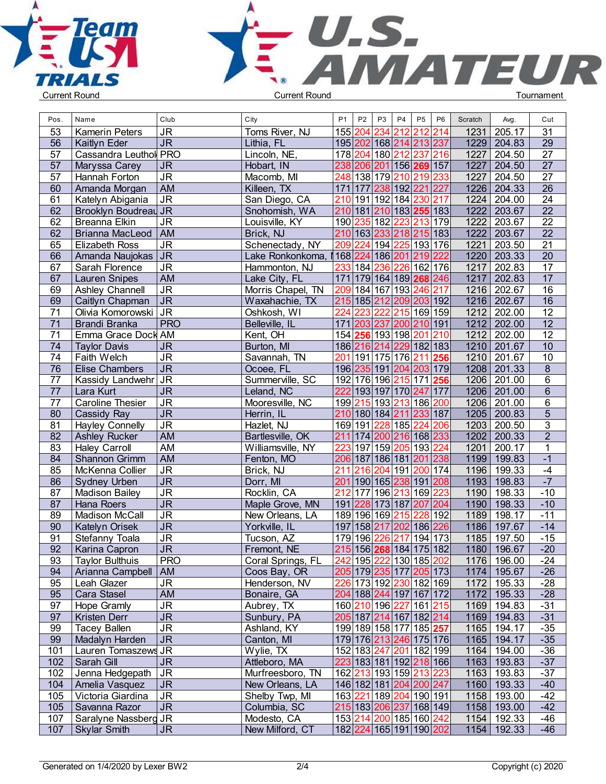



| Pos. | Name                                       | Club                              | City              | P <sub>1</sub> | P <sub>2</sub>      | P <sub>3</sub> | <b>P4</b> | P <sub>5</sub>                                 | P <sub>6</sub> | Scratch | Avg.        | Cut             |  |
|------|--------------------------------------------|-----------------------------------|-------------------|----------------|---------------------|----------------|-----------|------------------------------------------------|----------------|---------|-------------|-----------------|--|
| 53   | <b>Kamerin Peters</b>                      | <b>JR</b>                         | Toms River, NJ    |                | 155 204             | 234            | 212       | 212                                            | 214            | 1231    | 205.17      | 31              |  |
| 56   | Kaitlyn Eder                               | <b>JR</b>                         | Lithia, FL        |                |                     |                |           | 195 202 168 214 213 237                        |                | 1229    | 204.83      | 29              |  |
| 57   | Cassandra Leuthol PRO                      |                                   | Lincoln, NE,      |                |                     |                |           | 178 204 180 212 237                            | 216            | 1227    | 204.50      | 27              |  |
| 57   | Maryssa Carey                              | <b>JR</b>                         | Hobart, IN        |                |                     |                |           | 238 206 201 156 269 157                        |                | 1227    | 204.50      | $\overline{27}$ |  |
| 57   | Hannah Forton                              | $\overline{\mathsf{J}\mathsf{R}}$ | Macomb, MI        |                |                     |                |           | 248 138 179 210 219                            | 233            | 1227    | 204.50      | $\overline{27}$ |  |
| 60   | Amanda Morgan                              | <b>AM</b>                         | Killeen, TX       |                | 171 177             |                |           | 238 192 221                                    | 227            | 1226    | 204.33      | $\overline{26}$ |  |
| 61   | Katelyn Abigania                           | <b>JR</b>                         | San Diego, CA     |                |                     |                |           | 210 191 192 184 230                            | 217            | 1224    | 204.00      | 24              |  |
| 62   | Brooklyn Boudreau JR                       |                                   | Snohomish, WA     |                |                     |                |           | 210 181 210 183 255 183                        |                | 1222    | 203.67      | $\overline{22}$ |  |
| 62   | Breanna Elkin                              | <b>JR</b>                         | Louisville, KY    |                |                     |                |           | 190 235 182 223 213 179                        |                | 1222    | 203.67      | $\overline{22}$ |  |
| 62   | <b>Brianna MacLeod</b>                     | AM                                | Brick, NJ         |                |                     |                |           | 210 163 233 218 215 183                        |                | 1222    | 203.67      | $\overline{22}$ |  |
| 65   | <b>Elizabeth Ross</b>                      | J <sub>R</sub>                    | Schenectady, NY   |                |                     |                |           | 209 224 194 225 193 176                        |                | 1221    | 203.50      | $\overline{21}$ |  |
| 66   | Amanda Naujokas JR                         |                                   | Lake Ronkonkoma,  |                |                     |                |           | 168 224 186 201 219                            | 222            | 1220    | 203.33      | 20              |  |
| 67   | Sarah Florence                             | <b>JR</b>                         | Hammonton, NJ     |                | 233 184             | 236            |           | 226 162 176                                    |                | 1217    | 202.83      | 17              |  |
| 67   | <b>Lauren Snipes</b>                       | <b>AM</b>                         | Lake City, FL     |                |                     |                |           | 171 179 164 189 268 246                        |                | 1217    | 202.83      | 17              |  |
| 69   | Ashley Channell                            | $\overline{\mathsf{J}\mathsf{R}}$ | Morris Chapel, TN |                |                     |                |           | 209 184 167 193 246                            | 217            | 1216    | 202.67      | $\overline{16}$ |  |
| 69   | Caitlyn Chapman                            | $\overline{\mathsf{J}\mathsf{R}}$ | Waxahachie, TX    |                |                     |                |           | 215 185 212 209 203 192                        |                | 1216    | 202.67      | 16              |  |
| 71   | Olivia Komorowski JR                       |                                   | Oshkosh, WI       | 224            | 223                 | 222            |           | 215 169 159                                    |                | 1212    | 202.00      | $\overline{12}$ |  |
| 71   |                                            | <b>PRO</b>                        |                   |                |                     |                |           | 171 203 237 200 210 191                        |                | 1212    | 202.00      | 12              |  |
|      | <b>Brandi Branka</b><br>Emma Grace Dock AM |                                   | Belleville, IL    |                | 154 256 193 198     |                |           | 201                                            | 210            | 1212    | 202.00      | $\overline{12}$ |  |
| 71   |                                            |                                   | Kent, OH          |                |                     |                |           |                                                |                |         |             | $\overline{10}$ |  |
| 74   | <b>Taylor Davis</b>                        | <b>JR</b>                         | Burton, MI        |                |                     |                |           | 186 216 214 229 182 183                        |                |         | 1210 201.67 |                 |  |
| 74   | Faith Welch                                | J <sub>R</sub>                    | Savannah, TN      |                | 201 191 175 176 211 |                |           |                                                | 256            |         | 1210 201.67 | 10              |  |
| 76   | <b>Elise Chambers</b>                      | <b>JR</b>                         | Ocoee, FL         |                |                     |                |           | 196 235 191 204 203 179                        |                |         | 1208 201.33 | 8               |  |
| 77   | Kassidy Landwehr JR                        |                                   | Summerville, SC   |                |                     |                |           | 192 176 196 215 171                            | 256            |         | 1206 201.00 | 6               |  |
| 77   | Lara Kurt                                  | $\overline{\mathsf{JR}}$          | Leland, NC        |                |                     |                |           | 222 193 197 170 247 177                        |                |         | 1206 201.00 | $\overline{6}$  |  |
| 77   | Caroline Thesier                           | $\overline{\mathsf{J}\mathsf{R}}$ | Mooresville, NC   |                |                     |                |           | 199 215 193 213 186 200                        |                |         | 1206 201.00 | $\overline{6}$  |  |
| 80   | Cassidy Ray                                | $\overline{\mathsf{J}\mathsf{R}}$ | Herrin, IL        |                |                     |                |           | 210 180 184 211 233 187                        |                |         | 1205 200.83 | $\overline{5}$  |  |
| 81   | <b>Hayley Connelly</b>                     | $\overline{\mathsf{J}\mathsf{R}}$ | Hazlet, NJ        |                |                     |                |           | 169 191 228 185 224                            | 206            | 1203    | 200.50      | 3               |  |
| 82   | <b>Ashley Rucker</b>                       | <b>AM</b>                         | Bartlesville, OK  |                |                     |                |           | 211 174 200 216 168 233                        |                |         | 1202 200.33 | $\overline{2}$  |  |
| 83   | <b>Haley Carroll</b>                       | <b>AM</b>                         | Williamsville, NY | 223            |                     |                |           | 197 159 205 193 224                            |                | 1201    | 200.17      | $\mathbf{1}$    |  |
| 84   | Shannon Grimm                              | <b>AM</b>                         | Fenton, MO        |                |                     |                |           | 206 187 186 181 201 238                        |                | 1199    | 199.83      | $-1$            |  |
| 85   | McKenna Collier                            | <b>JR</b>                         | Brick, NJ         | 211            | 216                 | 204 191        |           | 200 174                                        |                | 1196    | 199.33      | $-4$            |  |
| 86   | Sydney Urben                               | $\overline{\mathsf{JR}}$          | Dorr, MI          |                |                     |                |           | 201 190 165 238 191 208                        |                | 1193    | 198.83      | $-7$            |  |
| 87   | <b>Madison Bailey</b>                      | $\overline{\mathsf{J}\mathsf{R}}$ | Rocklin, CA       | 212            |                     |                |           | 177 196 213 169 223                            |                | 1190    | 198.33      | $-10$           |  |
| 87   | <b>Hana Roers</b>                          | JR                                | Maple Grove, MN   |                |                     |                |           | 191 228 173 187 207 204                        |                | 1190    | 198.33      | $-10$           |  |
| 89   | <b>Madison McCall</b>                      | $\overline{\mathsf{J}\mathsf{R}}$ | New Orleans, LA   |                | 189 196 169 215     |                |           | 228                                            | 192            | 1189    | 198.17      | $-11$           |  |
| 90   | Katelyn Orisek                             | $\overline{\mathsf{J}\mathsf{R}}$ | Yorkville, IL     |                |                     |                |           | 197 158 217 202 186 226                        |                | 1186    | 197.67      | $-14$           |  |
| 91   | Stefanny Toala                             | <b>JR</b>                         | Tucson, AZ        |                | 179 196 226         |                |           | 217 194 173                                    |                | 1185    | 197.50      | $-15$           |  |
| 92   | Karina Capron                              | <b>JR</b>                         | Fremont, NE       |                |                     |                |           | 215 156 268 184 175 182                        |                | 1180    | 196.67      | $-20$           |  |
| 93   | <b>Taylor Bulthuis</b>                     | <b>PRO</b>                        | Coral Springs, FL |                |                     |                |           | 242 195 222 130 185 202                        |                |         | 1176 196.00 | -24             |  |
| 94   | Arianna Campbell                           | AM                                | Coos Bay, OR      |                |                     |                |           | 205 179 235 177 205 173                        |                |         | 1174 195.67 | $-26$           |  |
| 95   | Leah Glazer                                | <b>JR</b>                         | Henderson, NV     |                |                     |                |           | 226 173 192 230 182 169                        |                | 1172    | 195.33      | $-28$           |  |
| 95   | Cara Stasel                                | <b>AM</b>                         | Bonaire, GA       |                |                     |                |           | 204 188 244 197 167 172                        |                | 1172    | 195.33      | $-28$           |  |
| 97   | Hope Gramly                                | $\overline{\mathsf{J}\mathsf{R}}$ | Aubrey, TX        |                |                     |                |           | 160 210 196 227 161 215                        |                | 1169    | 194.83      | $-31$           |  |
| 97   | Kristen Derr                               | $\overline{\mathsf{J}\mathsf{R}}$ | Sunbury, PA       |                |                     |                |           | 205 187 214 167 182 214                        |                | 1169    | 194.83      | $-31$           |  |
| 99   | <b>Tacey Ballen</b>                        | $\overline{\mathsf{J}\mathsf{R}}$ | Ashland, KY       |                |                     |                |           | 199 189 158 177 185 257                        |                |         | 1165 194.17 | $-35$           |  |
| 99   | Madalyn Harden                             | $\overline{\mathsf{J}\mathsf{R}}$ | Canton, MI        |                |                     |                |           | 179 176 213 246 175 176                        |                | 1165    | 194.17      | $-35$           |  |
| 101  | Lauren Tomaszews JR                        |                                   | Wylie, TX         |                |                     |                |           | 152 183 247 201 182 199                        |                | 1164    | 194.00      | $-36$           |  |
| 102  | Sarah Gill                                 | <b>JR</b>                         | Attleboro, MA     |                |                     |                |           | 223 183 181 192 218 166                        |                | 1163    | 193.83      | $-37$           |  |
| 102  | Jenna Hedgepath                            | <b>JR</b>                         | Murfreesboro, TN  |                |                     |                |           | 162 213 193 159 213 223                        |                | 1163    | 193.83      | $-37$           |  |
| 104  | Amelia Vasquez                             | <b>JR</b>                         | New Orleans, LA   |                |                     |                |           | 146   182   181   <mark>204</mark>   200   247 |                | 1160    | 193.33      | $-40$           |  |
| 105  | Victoria Giardina                          | <b>JR</b>                         | Shelby Twp, MI    |                |                     |                |           | 163 221 189 204 190 191                        |                | 1158    | 193.00      | $-42$           |  |
| 105  | Savanna Razor                              | <b>JR</b>                         | Columbia, SC      |                |                     |                |           | 215 183 206 237 168 149                        |                | 1158    | 193.00      | $-42$           |  |
| 107  | Saralyne Nassberg JR                       |                                   | Modesto, CA       |                |                     |                |           | 153 214 200 185 160 242                        |                |         | 1154 192.33 | -46             |  |
| 107  | <b>Skylar Smith</b>                        | <b>JR</b>                         | New Milford, CT   |                |                     |                |           | 182 224 165 191 190 202                        |                |         | 1154 192.33 | $-46$           |  |
|      |                                            |                                   |                   |                |                     |                |           |                                                |                |         |             |                 |  |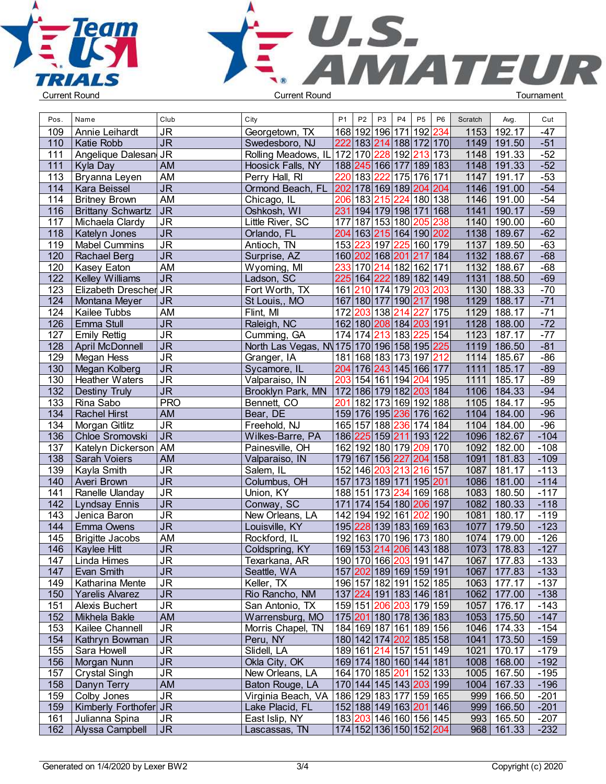



| Pos. | Name                     | Club                              | City                                       | P <sub>1</sub> | P <sub>2</sub>                         | P <sub>3</sub> | P <sub>4</sub> | P <sub>5</sub> | P <sub>6</sub> | Scratch | Avg.          | Cut    |  |
|------|--------------------------|-----------------------------------|--------------------------------------------|----------------|----------------------------------------|----------------|----------------|----------------|----------------|---------|---------------|--------|--|
| 109  | Annie Leihardt           | <b>JR</b>                         | Georgetown, TX                             |                | 168 192 196 171 192                    |                |                |                | 234            | 1153    | 192.17        | $-47$  |  |
| 110  | Katie Robb               | $\overline{\mathsf{J}\mathsf{R}}$ | Swedesboro, NJ                             |                | 222 183 214 188 172 170                |                |                |                |                | 1149    | 191.50        | $-51$  |  |
| 111  | Angelique Dalesan JR     |                                   | Rolling Meadows, IL 172 170 228            |                |                                        |                | 192 213 173    |                |                | 1148    | 191.33        | $-52$  |  |
| 111  | Kyla Day                 | AM                                | Hoosick Falls, NY                          |                | 188  245  166  177  189  183           |                |                |                |                | 1148    | 191.33        | $-52$  |  |
| 113  | Bryanna Leyen            | AM                                | Perry Hall, RI                             |                | 220 183 222 175 176 171                |                |                |                |                | 1147    | 191.17        | $-53$  |  |
| 114  | Kara Beissel             | $\overline{\mathsf{J}\mathsf{R}}$ | Ormond Beach, FL                           |                | 202 178 169 189 204 204                |                |                |                |                | 1146    | 191.00        | $-54$  |  |
| 114  | <b>Britney Brown</b>     | AM                                | Chicago, IL                                |                | 206 183 215                            |                | 224 180 138    |                |                | 1146    | 191.00        | $-54$  |  |
| 116  | <b>Brittany Schwartz</b> | <b>JR</b>                         | Oshkosh, WI                                |                | 231 194 179 198 171 168                |                |                |                |                | 1141    | 190.17        | $-59$  |  |
| 117  | Michaela Clardy          | <b>JR</b>                         | Little River, SC                           |                | 177 187 153 180 205                    |                |                |                | 238            | 1140    | 190.00        | $-60$  |  |
| 118  | Katelyn Jones            | $\overline{\mathsf{J}\mathsf{R}}$ | Orlando, FL                                |                | 204 163 215 164 190 202                |                |                |                |                | 1138    | 189.67        | $-62$  |  |
| 119  | <b>Mabel Cummins</b>     | $\overline{\mathsf{J}\mathsf{R}}$ | Antioch, TN                                |                | 153 223 197                            |                | 225 160 179    |                |                | 1137    | 189.50        | $-63$  |  |
| 120  | <b>Rachael Berg</b>      | $\overline{\mathsf{J}\mathsf{R}}$ | Surprise, AZ                               |                | 160 202 168 201 217 184                |                |                |                |                | 1132    | 188.67        | $-68$  |  |
| 120  | Kasey Eaton              | <b>AM</b>                         | Wyoming, MI                                | 233            | 170 214 182 162 171                    |                |                |                |                | 1132    | 188.67        | $-68$  |  |
| 122  | <b>Kelley Williams</b>   | $\overline{\mathsf{J}\mathsf{R}}$ | Ladson, SC                                 |                | 225 164 222 189 182 149                |                |                |                |                | 1131    | 188.50        | $-69$  |  |
| 123  | Elizabeth Drescher JR    |                                   | Fort Worth, TX                             |                | 161 210 174 179 203 203                |                |                |                |                | 1130    | 188.33        | $-70$  |  |
| 124  | Montana Meyer            | <b>JR</b>                         | St Louis,, MO                              |                | 167 180 177 190 217 198                |                |                |                |                | 1129    | 188.17        | $-71$  |  |
| 124  | Kailee Tubbs             | AM                                | Flint, MI                                  |                | 172 203 138                            |                | 214            | 227            | 175            | 1129    | 188.17        | $-71$  |  |
| 126  | Emma Stull               | <b>JR</b>                         | Raleigh, NC                                |                | 162 180 208 184 203 191                |                |                |                |                | 1128    | 188.00        | $-72$  |  |
| 127  | <b>Emily Rettig</b>      | <b>JR</b>                         | Cumming, GA                                |                | 174 174 213 183 225                    |                |                |                | 154            | 1123    | 187.17        | $-77$  |  |
| 128  | April McDonnell          | $\overline{\mathsf{J}\mathsf{R}}$ | North Las Vegas, N 175 170 196 158 195 225 |                |                                        |                |                |                |                | 1119    | 186.50        | $-81$  |  |
|      |                          | $\overline{\mathsf{J}\mathsf{R}}$ |                                            |                | 181 168 183 173 197 212                |                |                |                |                |         |               | $-86$  |  |
| 129  | Megan Hess               | $\overline{\mathsf{J}\mathsf{R}}$ | Granger, IA                                |                |                                        |                |                |                |                | 1114    | 185.67        | $-89$  |  |
| 130  | Megan Kolberg            |                                   | Sycamore, IL                               |                | 204 176 243 145 166 177                |                |                |                |                | 1111    | 185.17        | $-89$  |  |
| 130  | <b>Heather Waters</b>    | $\overline{\mathsf{J}\mathsf{R}}$ | Valparaiso, IN                             |                | 203 154 161 194 204 195                |                |                |                |                | 1111    | 185.17        |        |  |
| 132  | <b>Destiny Truly</b>     | $\overline{\mathsf{J}\mathsf{R}}$ | Brooklyn Park, MN                          |                | 172 186 179 182 203 184                |                |                |                |                | 1106    | 184.33        | $-94$  |  |
| 133  | Rina Sabo                | <b>PRO</b>                        | Bennett, CO                                |                | 201 182 173 169 192 188                |                |                |                |                | 1105    | 184.17        | $-95$  |  |
| 134  | <b>Rachel Hirst</b>      | <b>AM</b>                         | Bear, DE                                   |                | 159 176 195 236 176 162                |                |                |                |                | 1104    | 184.00        | $-96$  |  |
| 134  | Morgan Gitlitz           | $\overline{\mathsf{J}\mathsf{R}}$ | Freehold, NJ                               |                | 165 157 188                            |                | 236 174 184    |                |                | 1104    | 184.00        | $-96$  |  |
| 136  | Chloe Sromovski          | $\overline{\mathsf{J}\mathsf{R}}$ | Wilkes-Barre, PA                           |                | 186 225 159 211 193 122                |                |                |                |                | 1096    | 182.67        | $-104$ |  |
| 137  | Katelyn Dickerson   AM   |                                   | Painesville, OH                            |                | 162 192 180 179 209                    |                |                |                | 170            | 1092    | 182.00        | $-108$ |  |
| 138  | Sarah Voiers             | AM                                | Valparaiso, IN                             |                | 179 167 156 227                        |                |                | 204 158        |                | 1091    | 181.83        | $-109$ |  |
| 139  | Kayla Smith              | $\overline{\mathsf{J}\mathsf{R}}$ | Salem, IL                                  |                | 152 146                                | 203            | 213            | 216            | 157            | 1087    | 181.17        | $-113$ |  |
| 140  | Averi Brown              | $\overline{\mathsf{J}\mathsf{R}}$ | Columbus, OH                               |                | 157 173 189 171 195 201                |                |                |                |                | 1086    | 181.00        | $-114$ |  |
| 141  | Ranelle Ulanday          | $\overline{\mathsf{J}\mathsf{R}}$ | Union, KY                                  |                | 188 151 173 234 169 168                |                |                |                |                | 1083    | 180.50        | $-117$ |  |
| 142  | <b>Lyndsay Ennis</b>     | <b>JR</b>                         | Conway, SC                                 |                | 171 174 154 180 206 197                |                |                |                |                | 1082    | 180.33        | $-118$ |  |
| 143  | Jenica Baron             | $\overline{\mathsf{J}\mathsf{R}}$ | New Orleans, LA                            |                | 142 194 192 161 202                    |                |                |                | 190            | $1081$  | 180.17        | $-119$ |  |
| 144  | Emma Owens               | $\overline{\mathsf{J}\mathsf{R}}$ | Louisville, KY                             |                | 195 228 139 183 169 163                |                |                |                |                | 1077    | 179.50        | $-123$ |  |
| 145  | <b>Brigitte Jacobs</b>   | AM                                | Rockford, IL                               |                | 192 163 170 196 173 180                |                |                |                |                | 1074    | 179.00        | $-126$ |  |
| 146  | Kaylee Hitt              | <b>JR</b>                         | Coldspring, KY                             |                | 169 153 214 206 143 188                |                |                |                |                | 1073    | 178.83        | $-127$ |  |
| 147  | Linda Himes              | JR                                | Texarkana, AR                              |                | 190 170 166  <mark>203</mark>  191 147 |                |                |                |                |         | 1067   177.83 | $-133$ |  |
| 147  | Evan Smith               | <b>JR</b>                         | Seattle, WA                                |                | 157 202 189 169 159 191                |                |                |                |                |         | 1067 177.83   | $-133$ |  |
| 149  | Katharina Mente          | <b>JR</b>                         | Keller, TX                                 |                | 196 157 182 191 152 185                |                |                |                |                |         | 1063 177.17   | $-137$ |  |
| 150  | Yarelis Alvarez          | J <sub>R</sub>                    | Rio Rancho, NM                             |                | 137  224  191  183  146  181           |                |                |                |                |         | 1062 177.00   | $-138$ |  |
| 151  | Alexis Buchert           | <b>JR</b>                         | San Antonio, TX                            |                | 159 151 206 203 179 159                |                |                |                |                |         | 1057 176.17   | $-143$ |  |
| 152  | Mikhela Bakle            | AM                                | Warrensburg, MO                            |                | 175 201 180 178 136 183                |                |                |                |                |         | 1053 175.50   | $-147$ |  |
| 153  | Kailee Channell          | <b>JR</b>                         | Morris Chapel, TN                          |                | 184 169 187 161 189 156                |                |                |                |                |         | 1046 174.33   | $-154$ |  |
| 154  | Kathryn Bowman           | JR                                | Peru, NY                                   |                | 180 142 174  <mark>202</mark>  185 158 |                |                |                |                |         | 1041 173.50   | $-159$ |  |
| 155  | Sara Howell              | <b>JR</b>                         | Slidell, LA                                |                | 189 161 214 157 151 149                |                |                |                |                | 1021    | 170.17        | $-179$ |  |
| 156  | Morgan Nunn              | <b>JR</b>                         | Okla City, OK                              |                | 169 174 180 160 144 181                |                |                |                |                |         | 1008 168.00   | $-192$ |  |
| 157  | <b>Crystal Singh</b>     | <b>JR</b>                         | New Orleans, LA                            |                | 164 170 185 201 152 133                |                |                |                |                |         | 1005 167.50   | $-195$ |  |
| 158  | Danyn Terry              | AM                                | Baton Rouge, LA                            |                | 170 144 145 143  <mark>203</mark>  199 |                |                |                |                |         | 1004 167.33   | $-196$ |  |
| 159  | Colby Jones              | <b>JR</b>                         | Virginia Beach, VA                         |                | 186 129 183 177 159 165                |                |                |                |                |         | 999 166.50    | $-201$ |  |
| 159  | Kimberly Forthofer JR    |                                   | Lake Placid, FL                            |                | 152 188 149 163  <mark>201</mark>  146 |                |                |                |                |         | 999 166.50    | $-201$ |  |
| 161  | Julianna Spina           | <b>JR</b>                         | East Islip, NY                             |                | 183 203 146 160 156 145                |                |                |                |                |         | 993 165.50    | $-207$ |  |
| 162  | Alyssa Campbell          | JR                                | Lascassas, TN                              |                | 174 152 136 150 152  <mark>204</mark>  |                |                |                |                |         | 968 161.33    | $-232$ |  |